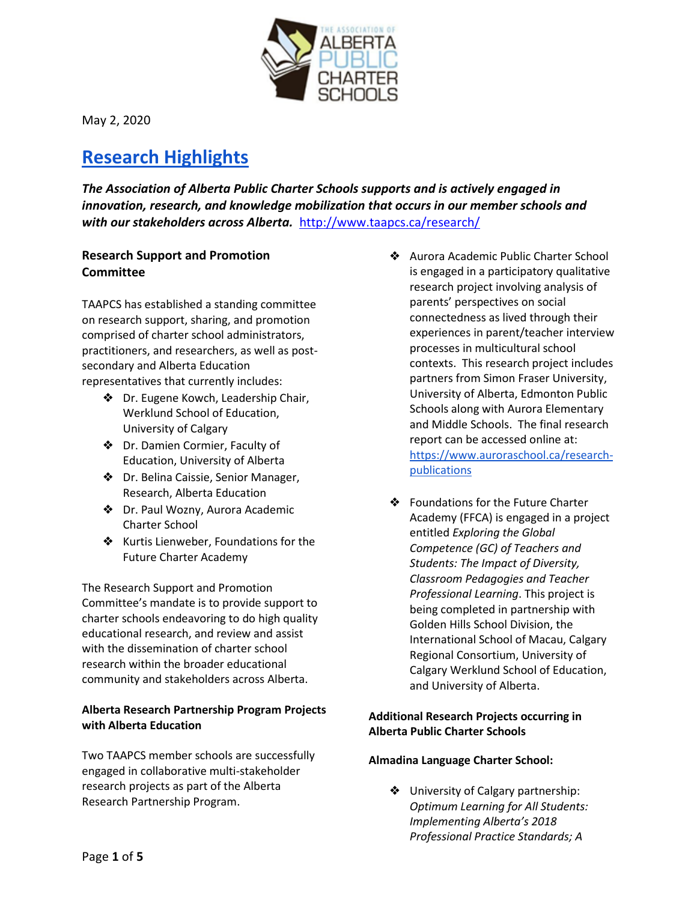

# **Research Highlights**

*The Association of Alberta Public Charter Schools supports and is actively engaged in innovation, research, and knowledge mobilization that occurs in our member schools and with our stakeholders across Alberta.* <http://www.taapcs.ca/research/>

# **Research Support and Promotion Committee**

TAAPCS has established a standing committee on research support, sharing, and promotion comprised of charter school administrators, practitioners, and researchers, as well as postsecondary and Alberta Education representatives that currently includes:

- ❖ Dr. Eugene Kowch, Leadership Chair, Werklund School of Education, University of Calgary
- ❖ Dr. Damien Cormier, Faculty of Education, University of Alberta
- ❖ Dr. Belina Caissie, Senior Manager, Research, Alberta Education
- ❖ Dr. Paul Wozny, Aurora Academic Charter School
- ❖ Kurtis Lienweber, Foundations for the Future Charter Academy

The Research Support and Promotion Committee's mandate is to provide support to charter schools endeavoring to do high quality educational research, and review and assist with the dissemination of charter school research within the broader educational community and stakeholders across Alberta.

# **Alberta Research Partnership Program Projects with Alberta Education**

Two TAAPCS member schools are successfully engaged in collaborative multi-stakeholder research projects as part of the Alberta Research Partnership Program.

- ❖ Aurora Academic Public Charter School is engaged in a participatory qualitative research project involving analysis of parents' perspectives on social connectedness as lived through their experiences in parent/teacher interview processes in multicultural school contexts. This research project includes partners from Simon Fraser University, University of Alberta, Edmonton Public Schools along with Aurora Elementary and Middle Schools. The final research report can be accessed online at: [https://www.auroraschool.ca/research](https://www.auroraschool.ca/research-publications)[publications](https://www.auroraschool.ca/research-publications)
- ❖ Foundations for the Future Charter Academy (FFCA) is engaged in a project entitled *Exploring the Global Competence (GC) of Teachers and Students: The Impact of Diversity, Classroom Pedagogies and Teacher Professional Learning*. This project is being completed in partnership with Golden Hills School Division, the International School of Macau, Calgary Regional Consortium, University of Calgary Werklund School of Education, and University of Alberta.

# **Additional Research Projects occurring in Alberta Public Charter Schools**

## **Almadina Language Charter School:**

❖ University of Calgary partnership: *Optimum Learning for All Students: Implementing Alberta's 2018 Professional Practice Standards; A*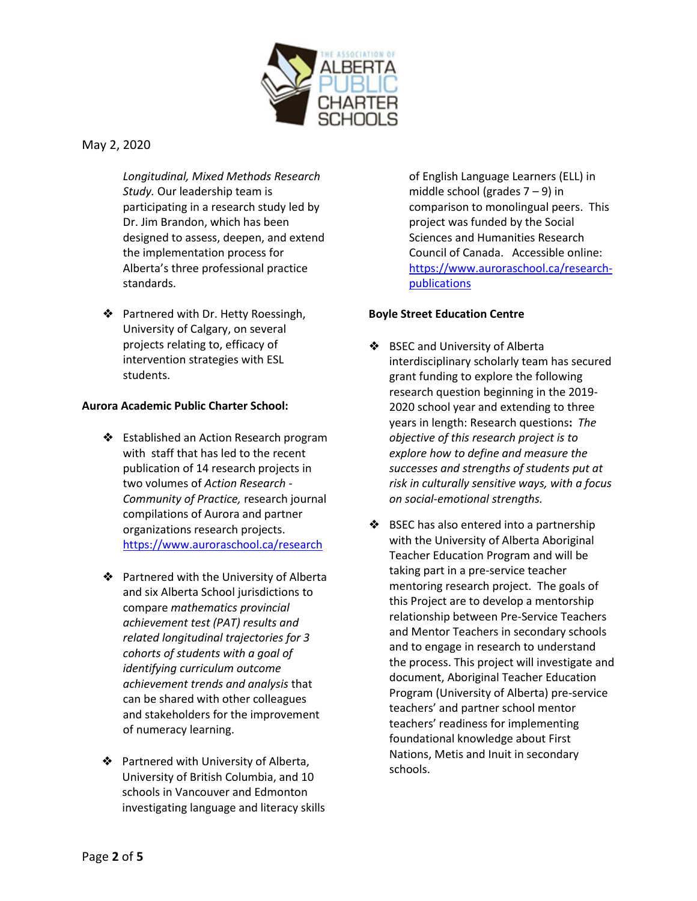

*Longitudinal, Mixed Methods Research Study.* Our leadership team is participating in a research study led by Dr. Jim Brandon, which has been designed to assess, deepen, and extend the implementation process for Alberta's three professional practice standards.

❖ Partnered with Dr. Hetty Roessingh, University of Calgary, on several projects relating to, efficacy of intervention strategies with ESL students.

#### **Aurora Academic Public Charter School:**

- ❖ Established an Action Research program with staff that has led to the recent publication of 14 research projects in two volumes of *Action Research - Community of Practice,* research journal compilations of Aurora and partner organizations research projects. <https://www.auroraschool.ca/research>
- ❖ Partnered with the University of Alberta and six Alberta School jurisdictions to compare *mathematics provincial achievement test (PAT) results and related longitudinal trajectories for 3 cohorts of students with a goal of identifying curriculum outcome achievement trends and analysis* that can be shared with other colleagues and stakeholders for the improvement of numeracy learning.
- ❖ Partnered with University of Alberta, University of British Columbia, and 10 schools in Vancouver and Edmonton investigating language and literacy skills

of English Language Learners (ELL) in middle school (grades  $7 - 9$ ) in comparison to monolingual peers. This project was funded by the Social Sciences and Humanities Research Council of Canada. Accessible online: [https://www.auroraschool.ca/research](https://www.auroraschool.ca/research-publications)[publications](https://www.auroraschool.ca/research-publications)

#### **Boyle Street Education Centre**

- ❖ BSEC and University of Alberta interdisciplinary scholarly team has secured grant funding to explore the following research question beginning in the 2019- 2020 school year and extending to three years in length: Research questions**:** *The objective of this research project is to explore how to define and measure the successes and strengths of students put at risk in culturally sensitive ways, with a focus on social-emotional strengths.*
- ❖ BSEC has also entered into a partnership with the University of Alberta Aboriginal Teacher Education Program and will be taking part in a pre-service teacher mentoring research project. The goals of this Project are to develop a mentorship relationship between Pre-Service Teachers and Mentor Teachers in secondary schools and to engage in research to understand the process. This project will investigate and document, Aboriginal Teacher Education Program (University of Alberta) pre-service teachers' and partner school mentor teachers' readiness for implementing foundational knowledge about First Nations, Metis and Inuit in secondary schools.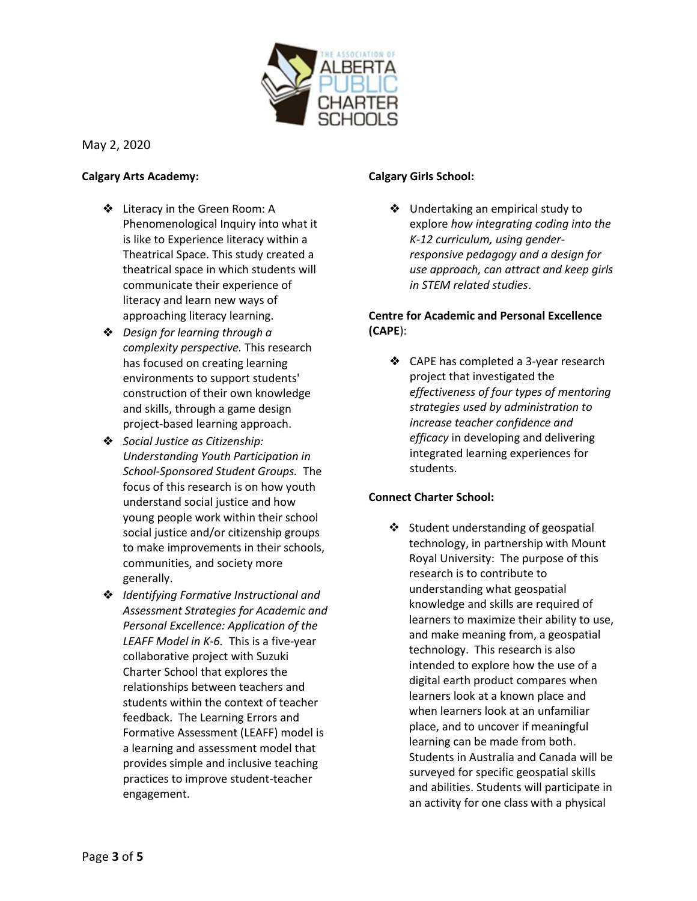

#### **Calgary Arts Academy:**

- ❖ Literacy in the Green Room: A Phenomenological Inquiry into what it is like to Experience literacy within a Theatrical Space. This study created a theatrical space in which students will communicate their experience of literacy and learn new ways of approaching literacy learning.
- ❖ *Design for learning through a complexity perspective.* This research has focused on creating learning environments to support students' construction of their own knowledge and skills, through a game design project-based learning approach.
- ❖ *Social Justice as Citizenship: Understanding Youth Participation in School-Sponsored Student Groups.* The focus of this research is on how youth understand social justice and how young people work within their school social justice and/or citizenship groups to make improvements in their schools, communities, and society more generally.
- ❖ *Identifying Formative Instructional and Assessment Strategies for Academic and Personal Excellence: Application of the LEAFF Model in K-6.* This is a five-year collaborative project with Suzuki Charter School that explores the relationships between teachers and students within the context of teacher feedback. The Learning Errors and Formative Assessment (LEAFF) model is a learning and assessment model that provides simple and inclusive teaching practices to improve student-teacher engagement.

#### **Calgary Girls School:**

❖ Undertaking an empirical study to explore *how integrating coding into the K-12 curriculum, using genderresponsive pedagogy and a design for use approach, can attract and keep girls in STEM related studies*.

# **Centre for Academic and Personal Excellence (CAPE**):

❖ CAPE has completed a 3-year research project that investigated the *effectiveness of four types of mentoring strategies used by administration to increase teacher confidence and efficacy* in developing and delivering integrated learning experiences for students.

## **Connect Charter School:**

❖ Student understanding of geospatial technology, in partnership with Mount Royal University: The purpose of this research is to contribute to understanding what geospatial knowledge and skills are required of learners to maximize their ability to use, and make meaning from, a geospatial technology. This research is also intended to explore how the use of a digital earth product compares when learners look at a known place and when learners look at an unfamiliar place, and to uncover if meaningful learning can be made from both. Students in Australia and Canada will be surveyed for specific geospatial skills and abilities. Students will participate in an activity for one class with a physical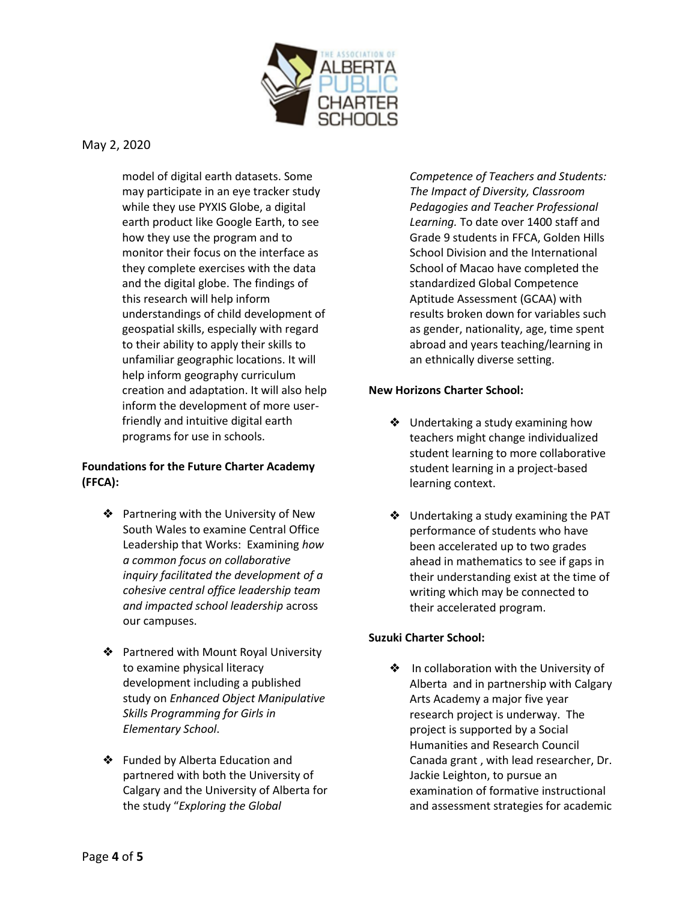

model of digital earth datasets. Some may participate in an eye tracker study while they use PYXIS Globe, a digital earth product like Google Earth, to see how they use the program and to monitor their focus on the interface as they complete exercises with the data and the digital globe. The findings of this research will help inform understandings of child development of geospatial skills, especially with regard to their ability to apply their skills to unfamiliar geographic locations. It will help inform geography curriculum creation and adaptation. It will also help inform the development of more userfriendly and intuitive digital earth programs for use in schools.

# **Foundations for the Future Charter Academy (FFCA):**

- ❖ Partnering with the University of New South Wales to examine Central Office Leadership that Works: Examining *how a common focus on collaborative inquiry facilitated the development of a cohesive central office leadership team and impacted school leadership* across our campuses.
- ❖ Partnered with Mount Royal University to examine physical literacy development including a published study on *Enhanced Object Manipulative Skills Programming for Girls in Elementary School*.
- ❖ Funded by Alberta Education and partnered with both the University of Calgary and the University of Alberta for the study "*Exploring the Global*

*Competence of Teachers and Students: The Impact of Diversity, Classroom Pedagogies and Teacher Professional Learning.* To date over 1400 staff and Grade 9 students in FFCA, Golden Hills School Division and the International School of Macao have completed the standardized Global Competence Aptitude Assessment (GCAA) with results broken down for variables such as gender, nationality, age, time spent abroad and years teaching/learning in an ethnically diverse setting.

## **New Horizons Charter School:**

- ❖ Undertaking a study examining how teachers might change individualized student learning to more collaborative student learning in a project-based learning context.
- ❖ Undertaking a study examining the PAT performance of students who have been accelerated up to two grades ahead in mathematics to see if gaps in their understanding exist at the time of writing which may be connected to their accelerated program.

# **Suzuki Charter School:**

❖ In collaboration with the University of Alberta and in partnership with Calgary Arts Academy a major five year research project is underway. The project is supported by a Social Humanities and Research Council Canada grant , with lead researcher, Dr. Jackie Leighton, to pursue an examination of formative instructional and assessment strategies for academic